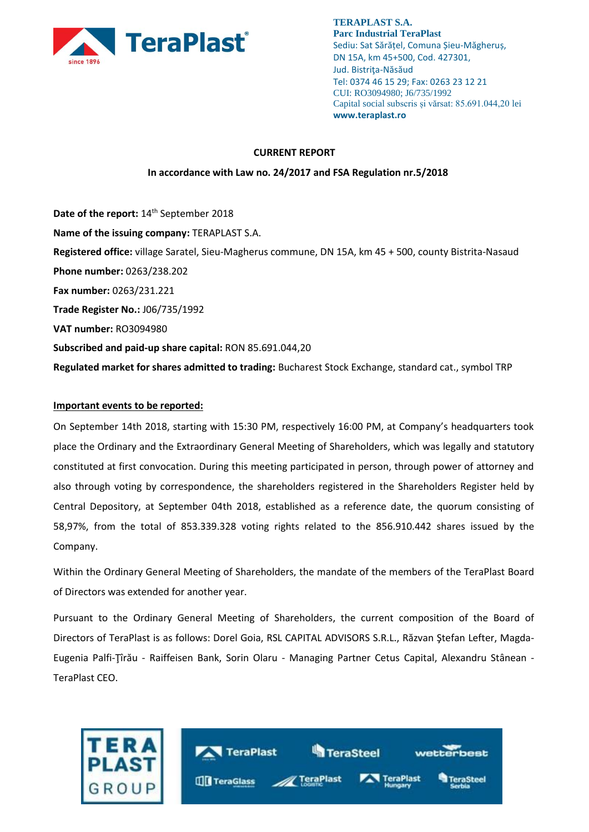

### **CURRENT REPORT**

### **In accordance with Law no. 24/2017 and FSA Regulation nr.5/2018**

Date of the report: 14<sup>th</sup> September 2018 **Name of the issuing company:** TERAPLAST S.A. **Registered office:** village Saratel, Sieu-Magherus commune, DN 15A, km 45 + 500, county Bistrita-Nasaud **Phone number:** 0263/238.202 **Fax number:** 0263/231.221 **Trade Register No.:** J06/735/1992 **VAT number:** RO3094980 **Subscribed and paid-up share capital:** RON 85.691.044,20 **Regulated market for shares admitted to trading:** Bucharest Stock Exchange, standard cat., symbol TRP

## **Important events to be reported:**

On September 14th 2018, starting with 15:30 PM, respectively 16:00 PM, at Company's headquarters took place the Ordinary and the Extraordinary General Meeting of Shareholders, which was legally and statutory constituted at first convocation. During this meeting participated in person, through power of attorney and also through voting by correspondence, the shareholders registered in the Shareholders Register held by Central Depository, at September 04th 2018, established as a reference date, the quorum consisting of 58,97%, from the total of 853.339.328 voting rights related to the 856.910.442 shares issued by the Company.

Within the Ordinary General Meeting of Shareholders, the mandate of the members of the TeraPlast Board of Directors was extended for another year.

Pursuant to the Ordinary General Meeting of Shareholders, the current composition of the Board of Directors of TeraPlast is as follows: Dorel Goia, RSL CAPITAL ADVISORS S.R.L., Răzvan Ştefan Lefter, Magda-Eugenia Palfi-Ţîrău - Raiffeisen Bank, Sorin Olaru - Managing Partner Cetus Capital, Alexandru Stânean - TeraPlast CEO.

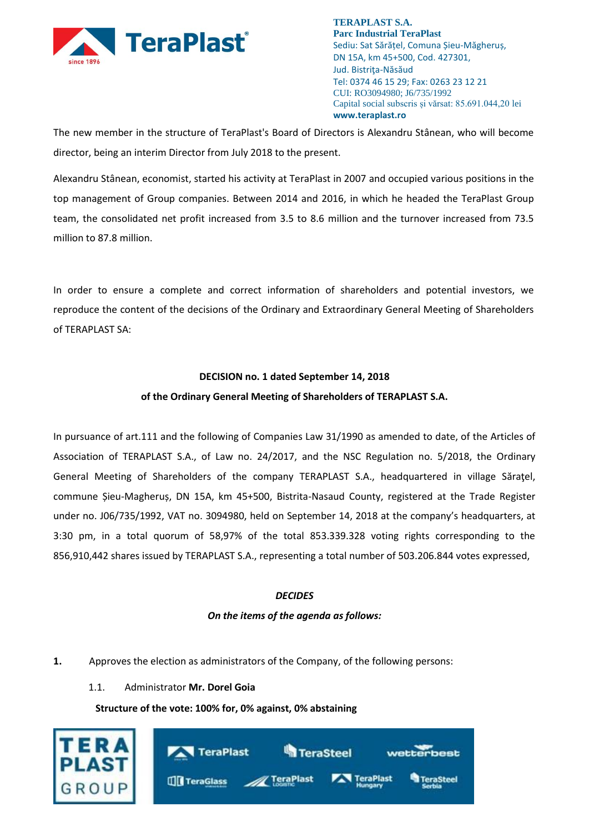

The new member in the structure of TeraPlast's Board of Directors is Alexandru Stânean, who will become director, being an interim Director from July 2018 to the present.

Alexandru Stânean, economist, started his activity at TeraPlast in 2007 and occupied various positions in the top management of Group companies. Between 2014 and 2016, in which he headed the TeraPlast Group team, the consolidated net profit increased from 3.5 to 8.6 million and the turnover increased from 73.5 million to 87.8 million.

In order to ensure a complete and correct information of shareholders and potential investors, we reproduce the content of the decisions of the Ordinary and Extraordinary General Meeting of Shareholders of TERAPLAST SA:

### **DECISION no. 1 dated September 14, 2018**

### **of the Ordinary General Meeting of Shareholders of TERAPLAST S.A.**

In pursuance of art.111 and the following of Companies Law 31/1990 as amended to date, of the Articles of Association of TERAPLAST S.A., of Law no. 24/2017, and the NSC Regulation no. 5/2018, the Ordinary General Meeting of Shareholders of the company TERAPLAST S.A., headquartered in village Săraţel, commune Șieu-Magheruș, DN 15A, km 45+500, Bistrita-Nasaud County, registered at the Trade Register under no. J06/735/1992, VAT no. 3094980, held on September 14, 2018 at the company's headquarters, at 3:30 pm, in a total quorum of 58,97% of the total 853.339.328 voting rights corresponding to the 856,910,442 shares issued by TERAPLAST S.A., representing a total number of 503.206.844 votes expressed,

### *DECIDES*

### *On the items of the agenda as follows:*

### **1.** Approves the election as administrators of the Company, of the following persons:

1.1. Administrator **Mr. Dorel Goia**

### **Structure of the vote: 100% for, 0% against, 0% abstaining**

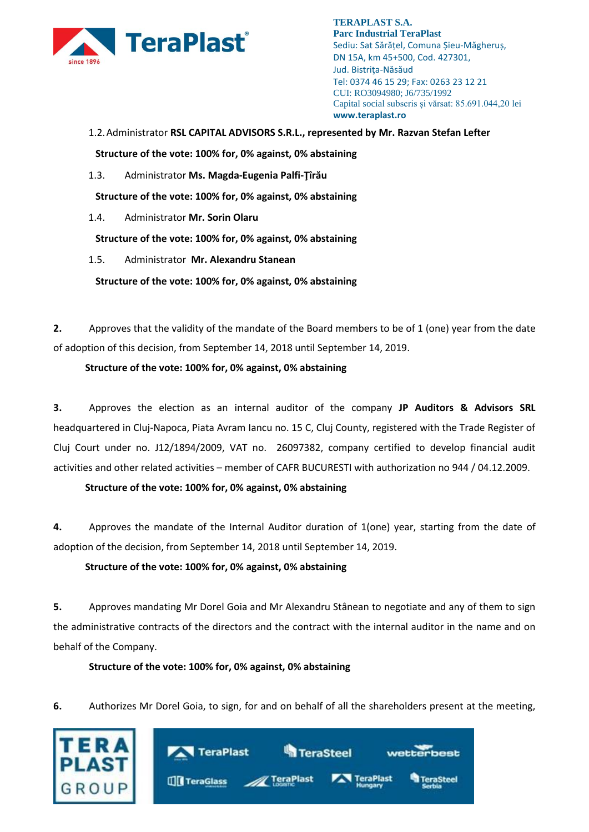

1.2.Administrator **RSL CAPITAL ADVISORS S.R.L., represented by Mr. Razvan Stefan Lefter**

**Structure of the vote: 100% for, 0% against, 0% abstaining** 

1.3. Administrator **Ms. Magda-Eugenia Palfi-Ţîrău**

**Structure of the vote: 100% for, 0% against, 0% abstaining**

1.4. Administrator **Mr. Sorin Olaru**

**Structure of the vote: 100% for, 0% against, 0% abstaining**

1.5. Administrator **Mr. Alexandru Stanean**

**Structure of the vote: 100% for, 0% against, 0% abstaining**

**2.** Approves that the validity of the mandate of the Board members to be of 1 (one) year from the date of adoption of this decision, from September 14, 2018 until September 14, 2019.

## **Structure of the vote: 100% for, 0% against, 0% abstaining**

**3.** Approves the election as an internal auditor of the company **JP Auditors & Advisors SRL** headquartered in Cluj-Napoca, Piata Avram Iancu no. 15 C, Cluj County, registered with the Trade Register of Cluj Court under no. J12/1894/2009, VAT no. 26097382, company certified to develop financial audit activities and other related activities – member of CAFR BUCURESTI with authorization no 944 / 04.12.2009.

# **Structure of the vote: 100% for, 0% against, 0% abstaining**

**4.** Approves the mandate of the Internal Auditor duration of 1(one) year, starting from the date of adoption of the decision, from September 14, 2018 until September 14, 2019.

# **Structure of the vote: 100% for, 0% against, 0% abstaining**

**5.** Approves mandating Mr Dorel Goia and Mr Alexandru Stânean to negotiate and any of them to sign the administrative contracts of the directors and the contract with the internal auditor in the name and on behalf of the Company.

# **Structure of the vote: 100% for, 0% against, 0% abstaining**

**6.** Authorizes Mr Dorel Goia, to sign, for and on behalf of all the shareholders present at the meeting,

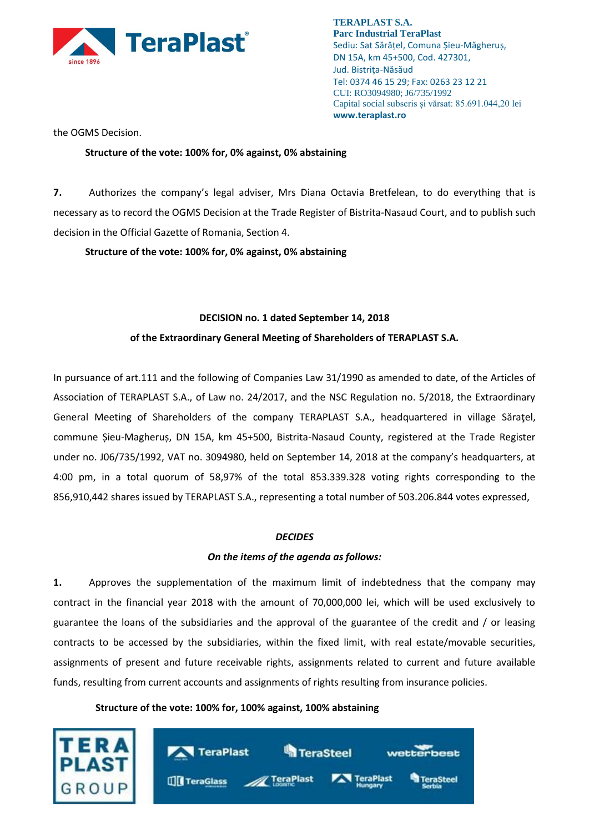

the OGMS Decision.

## **Structure of the vote: 100% for, 0% against, 0% abstaining**

**7.** Authorizes the company's legal adviser, Mrs Diana Octavia Bretfelean, to do everything that is necessary as to record the OGMS Decision at the Trade Register of Bistrita-Nasaud Court, and to publish such decision in the Official Gazette of Romania, Section 4.

**Structure of the vote: 100% for, 0% against, 0% abstaining**

## **DECISION no. 1 dated September 14, 2018**

## **of the Extraordinary General Meeting of Shareholders of TERAPLAST S.A.**

In pursuance of art.111 and the following of Companies Law 31/1990 as amended to date, of the Articles of Association of TERAPLAST S.A., of Law no. 24/2017, and the NSC Regulation no. 5/2018, the Extraordinary General Meeting of Shareholders of the company TERAPLAST S.A., headquartered in village Săraţel, commune Șieu-Magheruș, DN 15A, km 45+500, Bistrita-Nasaud County, registered at the Trade Register under no. J06/735/1992, VAT no. 3094980, held on September 14, 2018 at the company's headquarters, at 4:00 pm, in a total quorum of 58,97% of the total 853.339.328 voting rights corresponding to the 856,910,442 shares issued by TERAPLAST S.A., representing a total number of 503.206.844 votes expressed,

### *DECIDES*

# *On the items of the agenda as follows:*

**1.** Approves the supplementation of the maximum limit of indebtedness that the company may contract in the financial year 2018 with the amount of 70,000,000 lei, which will be used exclusively to guarantee the loans of the subsidiaries and the approval of the guarantee of the credit and / or leasing contracts to be accessed by the subsidiaries, within the fixed limit, with real estate/movable securities, assignments of present and future receivable rights, assignments related to current and future available funds, resulting from current accounts and assignments of rights resulting from insurance policies.

**Structure of the vote: 100% for, 100% against, 100% abstaining**

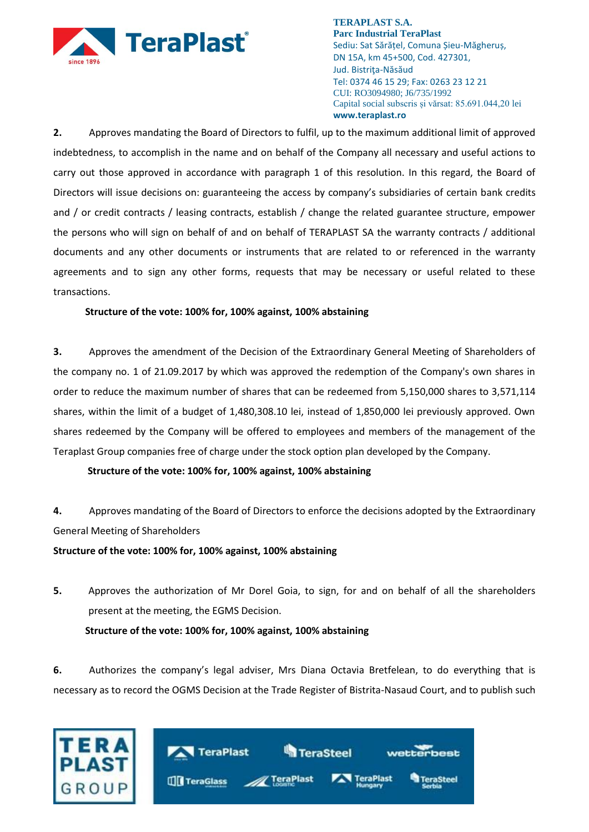

**2.** Approves mandating the Board of Directors to fulfil, up to the maximum additional limit of approved indebtedness, to accomplish in the name and on behalf of the Company all necessary and useful actions to carry out those approved in accordance with paragraph 1 of this resolution. In this regard, the Board of Directors will issue decisions on: guaranteeing the access by company's subsidiaries of certain bank credits and / or credit contracts / leasing contracts, establish / change the related guarantee structure, empower the persons who will sign on behalf of and on behalf of TERAPLAST SA the warranty contracts / additional documents and any other documents or instruments that are related to or referenced in the warranty agreements and to sign any other forms, requests that may be necessary or useful related to these transactions.

## **Structure of the vote: 100% for, 100% against, 100% abstaining**

**3.** Approves the amendment of the Decision of the Extraordinary General Meeting of Shareholders of the company no. 1 of 21.09.2017 by which was approved the redemption of the Company's own shares in order to reduce the maximum number of shares that can be redeemed from 5,150,000 shares to 3,571,114 shares, within the limit of a budget of 1,480,308.10 lei, instead of 1,850,000 lei previously approved. Own shares redeemed by the Company will be offered to employees and members of the management of the Teraplast Group companies free of charge under the stock option plan developed by the Company.

# **Structure of the vote: 100% for, 100% against, 100% abstaining**

**4.** Approves mandating of the Board of Directors to enforce the decisions adopted by the Extraordinary General Meeting of Shareholders

### **Structure of the vote: 100% for, 100% against, 100% abstaining**

**5.** Approves the authorization of Mr Dorel Goia, to sign, for and on behalf of all the shareholders present at the meeting, the EGMS Decision. **Structure of the vote: 100% for, 100% against, 100% abstaining**

**6.** Authorizes the company's legal adviser, Mrs Diana Octavia Bretfelean, to do everything that is necessary as to record the OGMS Decision at the Trade Register of Bistrita-Nasaud Court, and to publish such